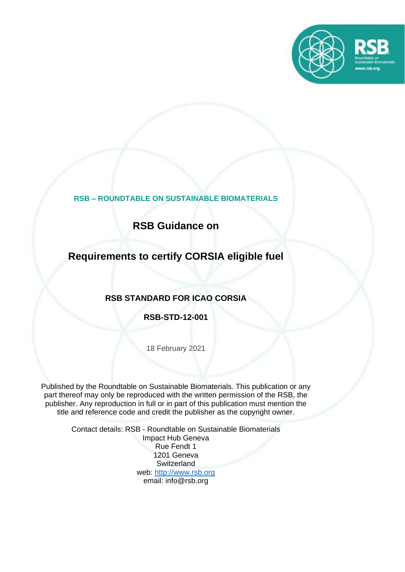

**RSB – ROUNDTABLE ON SUSTAINABLE BIOMATERIALS** 

**RSB Guidance on**

## **Requirements to certify CORSIA eligible fuel**

### **RSB STANDARD FOR ICAO CORSIA**

**RSB-STD-12-001**

18 February 2021

Published by the Roundtable on Sustainable Biomaterials. This publication or any part thereof may only be reproduced with the written permission of the RSB, the publisher. Any reproduction in full or in part of this publication must mention the title and reference code and credit the publisher as the copyright owner.

> Contact details: RSB - Roundtable on Sustainable Biomaterials Impact Hub Geneva Rue Fendt 1 1201 Geneva **Switzerland** web: [http://www.rsb.org](http://www.rsb.org/) email: info@rsb.org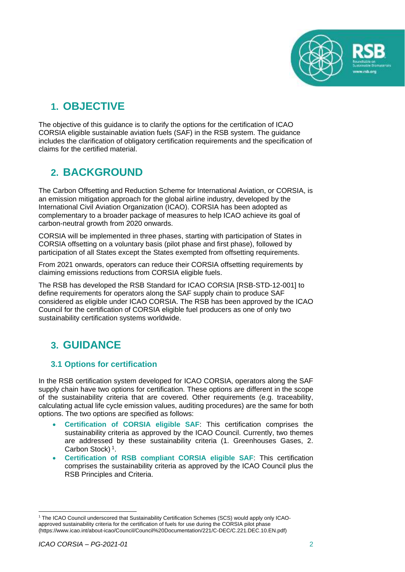

# **1. OBJECTIVE**

The objective of this guidance is to clarify the options for the certification of ICAO CORSIA eligible sustainable aviation fuels (SAF) in the RSB system. The guidance includes the clarification of obligatory certification requirements and the specification of claims for the certified material.

## **2. BACKGROUND**

The Carbon Offsetting and Reduction Scheme for International Aviation, or CORSIA, is an emission mitigation approach for the global airline industry, developed by the International Civil Aviation Organization (ICAO). CORSIA has been adopted as complementary to a broader package of measures to help ICAO achieve its goal of carbon-neutral growth from 2020 onwards.

CORSIA will be implemented in three phases, starting with participation of States in CORSIA offsetting on a voluntary basis (pilot phase and first phase), followed by participation of all States except the States exempted from offsetting requirements.

From 2021 onwards, operators can reduce their CORSIA offsetting requirements by claiming emissions reductions from CORSIA eligible fuels.

The RSB has developed the RSB Standard for ICAO CORSIA [RSB-STD-12-001] to define requirements for operators along the SAF supply chain to produce SAF considered as eligible under ICAO CORSIA. The RSB has been approved by the ICAO Council for the certification of CORSIA eligible fuel producers as one of only two sustainability certification systems worldwide.

## **3. GUIDANCE**

### **3.1 Options for certification**

In the RSB certification system developed for ICAO CORSIA, operators along the SAF supply chain have two options for certification. These options are different in the scope of the sustainability criteria that are covered. Other requirements (e.g. traceability, calculating actual life cycle emission values, auditing procedures) are the same for both options. The two options are specified as follows:

- **Certification of CORSIA eligible SAF**: This certification comprises the sustainability criteria as approved by the ICAO Council. Currently, two themes are addressed by these sustainability criteria (1. Greenhouses Gases, 2. Carbon Stock)<sup>1</sup>.
- **Certification of RSB compliant CORSIA eligible SAF**: This certification comprises the sustainability criteria as approved by the ICAO Council plus the RSB Principles and Criteria.

<sup>1</sup> The ICAO Council underscored that Sustainability Certification Schemes (SCS) would apply only ICAOapproved sustainability criteria for the certification of fuels for use during the CORSIA pilot phase (https://www.icao.int/about-icao/Council/Council%20Documentation/221/C-DEC/C.221.DEC.10.EN.pdf)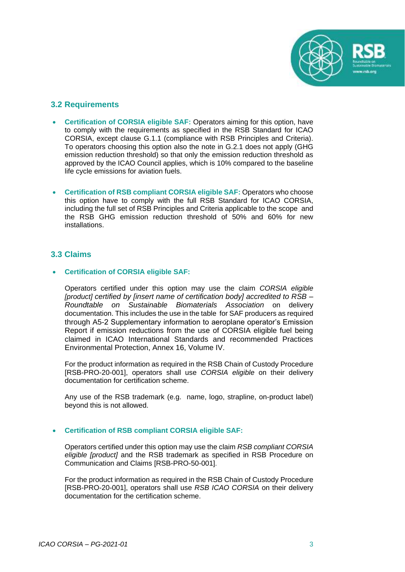

#### **3.2 Requirements**

- **Certification of CORSIA eligible SAF:** Operators aiming for this option, have to comply with the requirements as specified in the RSB Standard for ICAO CORSIA, except clause G.1.1 (compliance with RSB Principles and Criteria). To operators choosing this option also the note in G.2.1 does not apply (GHG emission reduction threshold) so that only the emission reduction threshold as approved by the ICAO Council applies, which is 10% compared to the baseline life cycle emissions for aviation fuels.
- **Certification of RSB compliant CORSIA eligible SAF:** Operators who choose this option have to comply with the full RSB Standard for ICAO CORSIA, including the full set of RSB Principles and Criteria applicable to the scope and the RSB GHG emission reduction threshold of 50% and 60% for new installations.

#### **3.3 Claims**

#### • **Certification of CORSIA eligible SAF:**

Operators certified under this option may use the claim *CORSIA eligible [product] certified by [insert name of certification body] accredited to RSB – Roundtable on Sustainable Biomaterials Association* on delivery documentation. This includes the use in the table for SAF producers as required through A5-2 Supplementary information to aeroplane operator's Emission Report if emission reductions from the use of CORSIA eligible fuel being claimed in ICAO International Standards and recommended Practices Environmental Protection, Annex 16, Volume IV.

For the product information as required in the RSB Chain of Custody Procedure [RSB-PRO-20-001], operators shall use *CORSIA eligible* on their delivery documentation for certification scheme.

Any use of the RSB trademark (e.g. name, logo, strapline, on-product label) beyond this is not allowed.

#### • **Certification of RSB compliant CORSIA eligible SAF:**

Operators certified under this option may use the claim *RSB compliant CORSIA eligible [product]* and the RSB trademark as specified in RSB Procedure on Communication and Claims [RSB-PRO-50-001].

For the product information as required in the RSB Chain of Custody Procedure [RSB-PRO-20-001], operators shall use *RSB ICAO CORSIA* on their delivery documentation for the certification scheme.